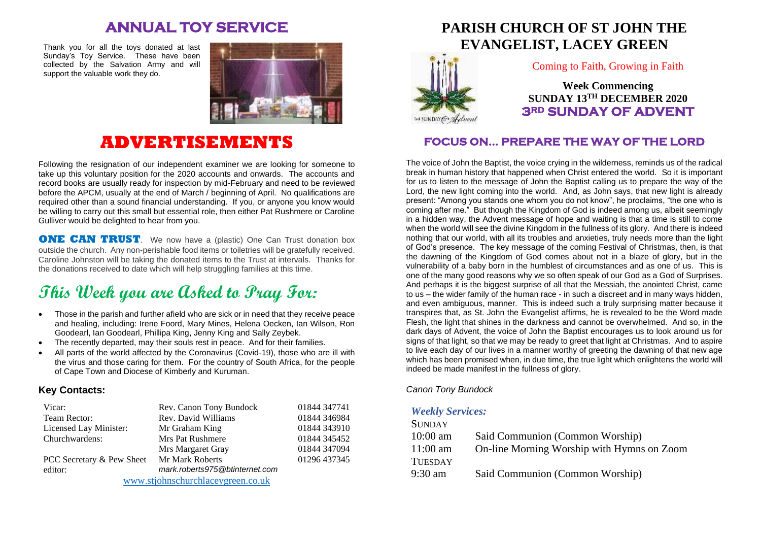## **ANNUAL TOY SERVICE**

Thank you for all the toys donated at last Sunday's Toy Service. These have been collected by the Salvation Army and will support the valuable work they do.



## **ADVERTISEMENTS**

Following the resignation of our independent examiner we are looking for someone to take up this voluntary position for the 2020 accounts and onwards. The accounts and record books are usually ready for inspection by mid-February and need to be reviewed before the APCM, usually at the end of March / beginning of April. No qualifications are required other than a sound financial understanding. If you, or anyone you know would be willing to carry out this small but essential role, then either Pat Rushmere or Caroline Gulliver would be delighted to hear from you.

**ONE CAN TRUST**. We now have a (plastic) One Can Trust donation box outside the church. Any non-perishable food items or toiletries will be gratefully received. Caroline Johnston will be taking the donated items to the Trust at intervals. Thanks for the donations received to date which will help struggling families at this time.

# **This Week you are Asked to Pray For:**

- Those in the parish and further afield who are sick or in need that they receive peace and healing, including: Irene Foord, Mary Mines, Helena Oecken, Ian Wilson, Ron Goodearl, Ian Goodearl, Phillipa King, Jenny King and Sally Zeybek.
- The recently departed, may their souls rest in peace. And for their families.
- All parts of the world affected by the Coronavirus (Covid-19), those who are ill with the virus and those caring for them. For the country of South Africa, for the people of Cape Town and Diocese of Kimberly and Kuruman.

#### **Key Contacts:**

| Vicar:                            | Rev. Canon Tony Bundock        | 01844 347741 |
|-----------------------------------|--------------------------------|--------------|
| Team Rector:                      | Rev. David Williams            | 01844 346984 |
| Licensed Lay Minister:            | Mr Graham King                 | 01844 343910 |
| Churchwardens:                    | Mrs Pat Rushmere               | 01844 345452 |
|                                   | Mrs Margaret Gray              | 01844 347094 |
| PCC Secretary & Pew Sheet         | Mr Mark Roberts                | 01296 437345 |
| editor:                           | mark.roberts975@btinternet.com |              |
| www.stjohnschurchlaceygreen.co.uk |                                |              |

## **PARISH CHURCH OF ST JOHN THE EVANGELIST, LACEY GREEN**



Coming to Faith, Growing in Faith

**Week Commencing SUNDAY 13TH DECEMBER 2020 3RD SUNDAY OF ADVENT** 

#### **FOCUS ON… PREPARE THE WAY OF THE LORD**

The voice of John the Baptist, the voice crying in the wilderness, reminds us of the radical break in human history that happened when Christ entered the world. So it is important for us to listen to the message of John the Baptist calling us to prepare the way of the Lord, the new light coming into the world. And, as John says, that new light is already present: "Among you stands one whom you do not know", he proclaims, "the one who is coming after me." But though the Kingdom of God is indeed among us, albeit seemingly in a hidden way, the Advent message of hope and waiting is that a time is still to come when the world will see the divine Kingdom in the fullness of its glory. And there is indeed nothing that our world, with all its troubles and anxieties, truly needs more than the light of God's presence. The key message of the coming Festival of Christmas, then, is that the dawning of the Kingdom of God comes about not in a blaze of glory, but in the vulnerability of a baby born in the humblest of circumstances and as one of us. This is one of the many good reasons why we so often speak of our God as a God of Surprises. And perhaps it is the biggest surprise of all that the Messiah, the anointed Christ, came to us – the wider family of the human race - in such a discreet and in many ways hidden, and even ambiguous, manner. This is indeed such a truly surprising matter because it transpires that, as St. John the Evangelist affirms, he is revealed to be the Word made Flesh, the light that shines in the darkness and cannot be overwhelmed. And so, in the dark days of Advent, the voice of John the Baptist encourages us to look around us for signs of that light, so that we may be ready to greet that light at Christmas. And to aspire to live each day of our lives in a manner worthy of greeting the dawning of that new age which has been promised when, in due time, the true light which enlightens the world will indeed be made manifest in the fullness of glory.

#### *Canon Tony Bundock*

#### *Weekly Services:*

| Said Communion (Common Worship)            |
|--------------------------------------------|
| On-line Morning Worship with Hymns on Zoom |
|                                            |
| Said Communion (Common Worship)            |
|                                            |